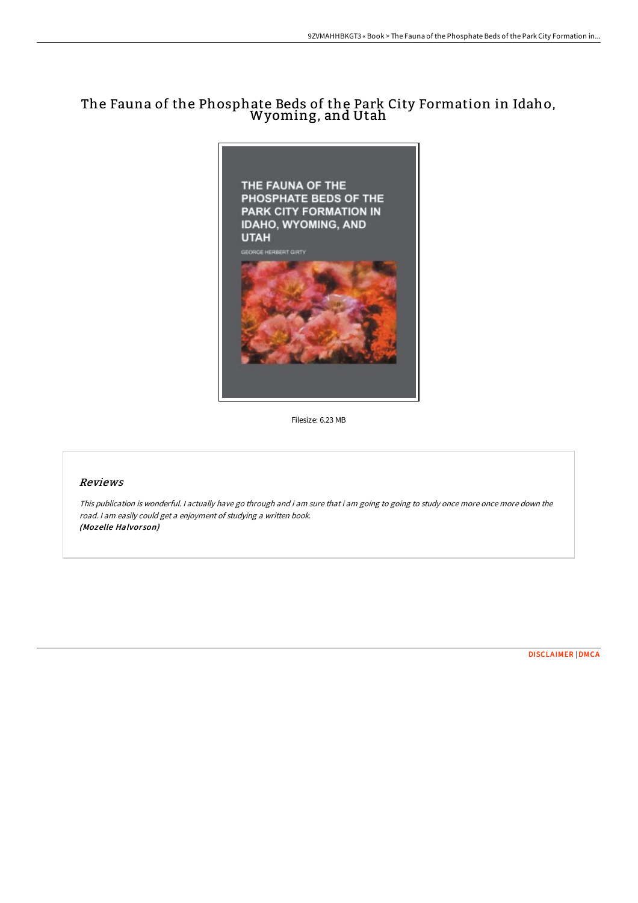## The Fauna of the Phosphate Beds of the Park City Formation in Idaho, Wyoming, and Utah



Filesize: 6.23 MB

## Reviews

This publication is wonderful. <sup>I</sup> actually have go through and i am sure that i am going to going to study once more once more down the road. <sup>I</sup> am easily could get <sup>a</sup> enjoyment of studying <sup>a</sup> written book. (Mozelle Halvorson)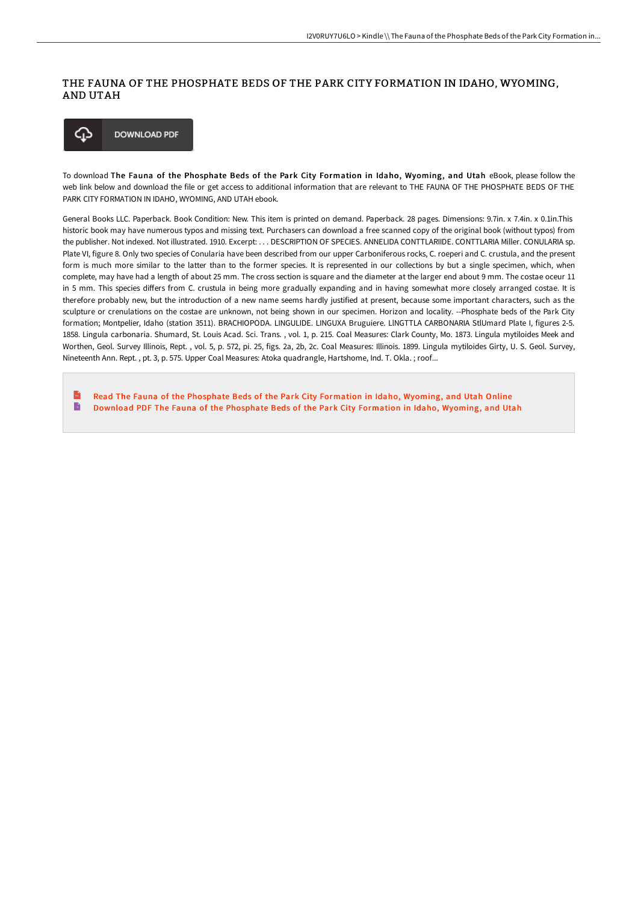## THE FAUNA OF THE PHOSPHATE BEDS OF THE PARK CITY FORMATION IN IDAHO, WYOMING, AND UTAH



To download The Fauna of the Phosphate Beds of the Park City Formation in Idaho, Wyoming, and Utah eBook, please follow the web link below and download the file or get access to additional information that are relevant to THE FAUNA OF THE PHOSPHATE BEDS OF THE PARK CITY FORMATION IN IDAHO, WYOMING, AND UTAH ebook.

General Books LLC. Paperback. Book Condition: New. This item is printed on demand. Paperback. 28 pages. Dimensions: 9.7in. x 7.4in. x 0.1in.This historic book may have numerous typos and missing text. Purchasers can download a free scanned copy of the original book (without typos) from the publisher. Not indexed. Not illustrated. 1910. Excerpt: . . . DESCRIPTION OF SPECIES. ANNELIDA CONTTLARIIDE. CONTTLARIA Miller. CONULARIA sp. Plate VI, figure 8. Only two species of Conularia have been described from our upper Carboniferous rocks, C. roeperi and C. crustula, and the present form is much more similar to the latter than to the former species. It is represented in our collections by but a single specimen, which, when complete, may have had a length of about 25 mm. The cross section is square and the diameter at the larger end about 9 mm. The costae oceur 11 in 5 mm. This species diFers from C. crustula in being more gradually expanding and in having somewhat more closely arranged costae. It is therefore probably new, but the introduction of a new name seems hardly justified at present, because some important characters, such as the sculpture or crenulations on the costae are unknown, not being shown in our specimen. Horizon and locality. --Phosphate beds of the Park City formation; Montpelier, Idaho (station 3511). BRACHIOPODA. LINGULIDE. LINGUXA Bruguiere. LlNGTTLA CARBONARIA StlUmard Plate I, figures 2-5. 1858. Lingula carbonaria. Shumard, St. Louis Acad. Sci. Trans. , vol. 1, p. 215. Coal Measures: Clark County, Mo. 1873. Lingula mytiloides Meek and Worthen, Geol. Survey Illinois, Rept. , vol. 5, p. 572, pi. 25, figs. 2a, 2b, 2c. Coal Measures: Illinois. 1899. Lingula mytiloides Girty, U. S. Geol. Survey, Nineteenth Ann. Rept. , pt. 3, p. 575. Upper Coal Measures: Atoka quadrangle, Hartshome, Ind. T. Okla. ; roof...

 $\mathbf{r}$ Read The Fauna of the [Phosphate](http://techno-pub.tech/the-fauna-of-the-phosphate-beds-of-the-park-city.html) Beds of the Park City Formation in Idaho, Wyoming, and Utah Online  $\blacksquare$ Download PDF The Fauna of the [Phosphate](http://techno-pub.tech/the-fauna-of-the-phosphate-beds-of-the-park-city.html) Beds of the Park City Formation in Idaho, Wyoming, and Utah